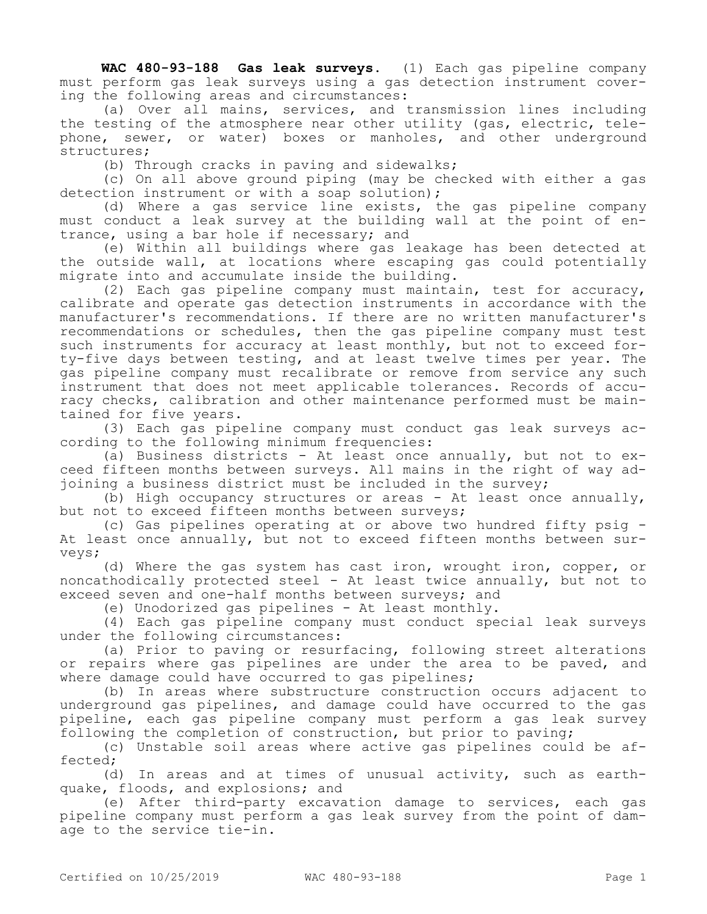**WAC 480-93-188 Gas leak surveys.** (1) Each gas pipeline company must perform gas leak surveys using a gas detection instrument covering the following areas and circumstances:

(a) Over all mains, services, and transmission lines including the testing of the atmosphere near other utility (gas, electric, telephone, sewer, or water) boxes or manholes, and other underground structures;

(b) Through cracks in paving and sidewalks;

(c) On all above ground piping (may be checked with either a gas detection instrument or with a soap solution);

(d) Where a gas service line exists, the gas pipeline company must conduct a leak survey at the building wall at the point of entrance, using a bar hole if necessary; and

(e) Within all buildings where gas leakage has been detected at the outside wall, at locations where escaping gas could potentially migrate into and accumulate inside the building.

(2) Each gas pipeline company must maintain, test for accuracy, calibrate and operate gas detection instruments in accordance with the manufacturer's recommendations. If there are no written manufacturer's recommendations or schedules, then the gas pipeline company must test such instruments for accuracy at least monthly, but not to exceed forty-five days between testing, and at least twelve times per year. The gas pipeline company must recalibrate or remove from service any such instrument that does not meet applicable tolerances. Records of accuracy checks, calibration and other maintenance performed must be maintained for five years.

(3) Each gas pipeline company must conduct gas leak surveys according to the following minimum frequencies:

(a) Business districts - At least once annually, but not to  $ex$ ceed fifteen months between surveys. All mains in the right of way adjoining a business district must be included in the survey;

(b) High occupancy structures or areas - At least once annually, but not to exceed fifteen months between surveys;

(c) Gas pipelines operating at or above two hundred fifty psig - At least once annually, but not to exceed fifteen months between surveys;

(d) Where the gas system has cast iron, wrought iron, copper, or noncathodically protected steel - At least twice annually, but not to exceed seven and one-half months between surveys; and

(e) Unodorized gas pipelines - At least monthly.

(4) Each gas pipeline company must conduct special leak surveys under the following circumstances:

(a) Prior to paving or resurfacing, following street alterations or repairs where gas pipelines are under the area to be paved, and where damage could have occurred to gas pipelines;

(b) In areas where substructure construction occurs adjacent to underground gas pipelines, and damage could have occurred to the gas pipeline, each gas pipeline company must perform a gas leak survey following the completion of construction, but prior to paving;

(c) Unstable soil areas where active gas pipelines could be affected;

(d) In areas and at times of unusual activity, such as earthquake, floods, and explosions; and

(e) After third-party excavation damage to services, each gas pipeline company must perform a gas leak survey from the point of damage to the service tie-in.